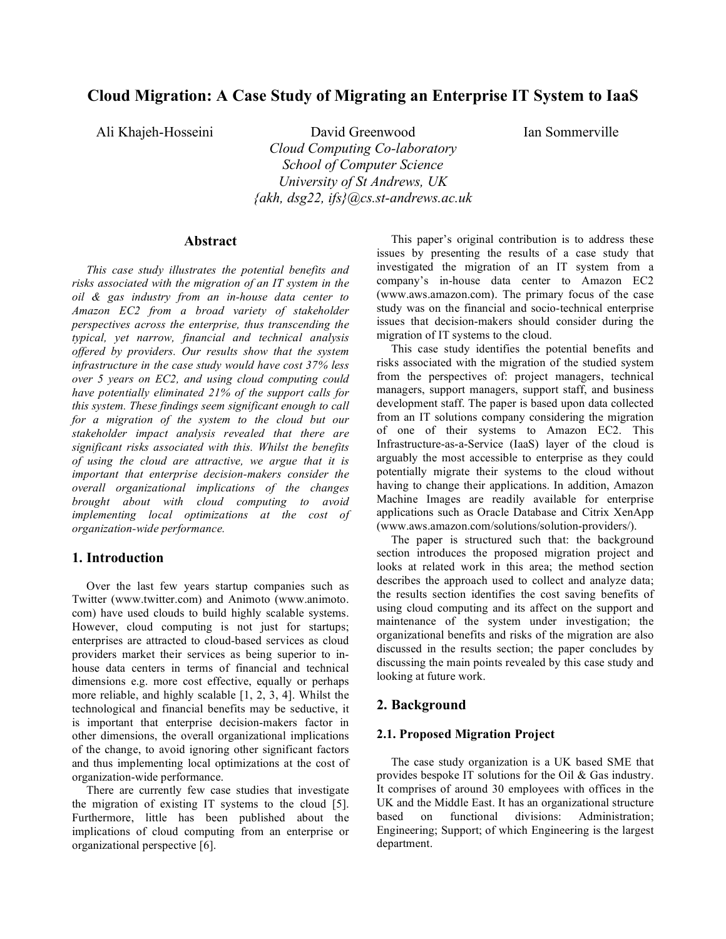# **Cloud Migration: A Case Study of Migrating an Enterprise IT System to IaaS**

Ali Khajeh-Hosseini David Greenwood Ian Sommerville *Cloud Computing Co-laboratory School of Computer Science University of St Andrews, UK {akh, dsg22, ifs}@cs.st-andrews.ac.uk*

## **Abstract**

*This case study illustrates the potential benefits and risks associated with the migration of an IT system in the oil & gas industry from an in-house data center to Amazon EC2 from a broad variety of stakeholder perspectives across the enterprise, thus transcending the typical, yet narrow, financial and technical analysis offered by providers. Our results show that the system infrastructure in the case study would have cost 37% less over 5 years on EC2, and using cloud computing could have potentially eliminated 21% of the support calls for this system. These findings seem significant enough to call for a migration of the system to the cloud but our stakeholder impact analysis revealed that there are significant risks associated with this. Whilst the benefits of using the cloud are attractive, we argue that it is important that enterprise decision-makers consider the overall organizational implications of the changes brought about with cloud computing to avoid implementing local optimizations at the cost of organization-wide performance.*

#### **1. Introduction**

Over the last few years startup companies such as Twitter (www.twitter.com) and Animoto (www.animoto. com) have used clouds to build highly scalable systems. However, cloud computing is not just for startups; enterprises are attracted to cloud-based services as cloud providers market their services as being superior to inhouse data centers in terms of financial and technical dimensions e.g. more cost effective, equally or perhaps more reliable, and highly scalable [1, 2, 3, 4]. Whilst the technological and financial benefits may be seductive, it is important that enterprise decision-makers factor in other dimensions, the overall organizational implications of the change, to avoid ignoring other significant factors and thus implementing local optimizations at the cost of organization-wide performance.

There are currently few case studies that investigate the migration of existing IT systems to the cloud [5]. Furthermore, little has been published about the implications of cloud computing from an enterprise or organizational perspective [6].

This paper's original contribution is to address these issues by presenting the results of a case study that investigated the migration of an IT system from a company's in-house data center to Amazon EC2 (www.aws.amazon.com). The primary focus of the case study was on the financial and socio-technical enterprise issues that decision-makers should consider during the migration of IT systems to the cloud.

This case study identifies the potential benefits and risks associated with the migration of the studied system from the perspectives of: project managers, technical managers, support managers, support staff, and business development staff. The paper is based upon data collected from an IT solutions company considering the migration of one of their systems to Amazon EC2. This Infrastructure-as-a-Service (IaaS) layer of the cloud is arguably the most accessible to enterprise as they could potentially migrate their systems to the cloud without having to change their applications. In addition, Amazon Machine Images are readily available for enterprise applications such as Oracle Database and Citrix XenApp (www.aws.amazon.com/solutions/solution-providers/).

The paper is structured such that: the background section introduces the proposed migration project and looks at related work in this area; the method section describes the approach used to collect and analyze data; the results section identifies the cost saving benefits of using cloud computing and its affect on the support and maintenance of the system under investigation; the organizational benefits and risks of the migration are also discussed in the results section; the paper concludes by discussing the main points revealed by this case study and looking at future work.

## **2. Background**

#### **2.1. Proposed Migration Project**

The case study organization is a UK based SME that provides bespoke IT solutions for the Oil & Gas industry. It comprises of around 30 employees with offices in the UK and the Middle East. It has an organizational structure based on functional divisions: Administration; Engineering; Support; of which Engineering is the largest department.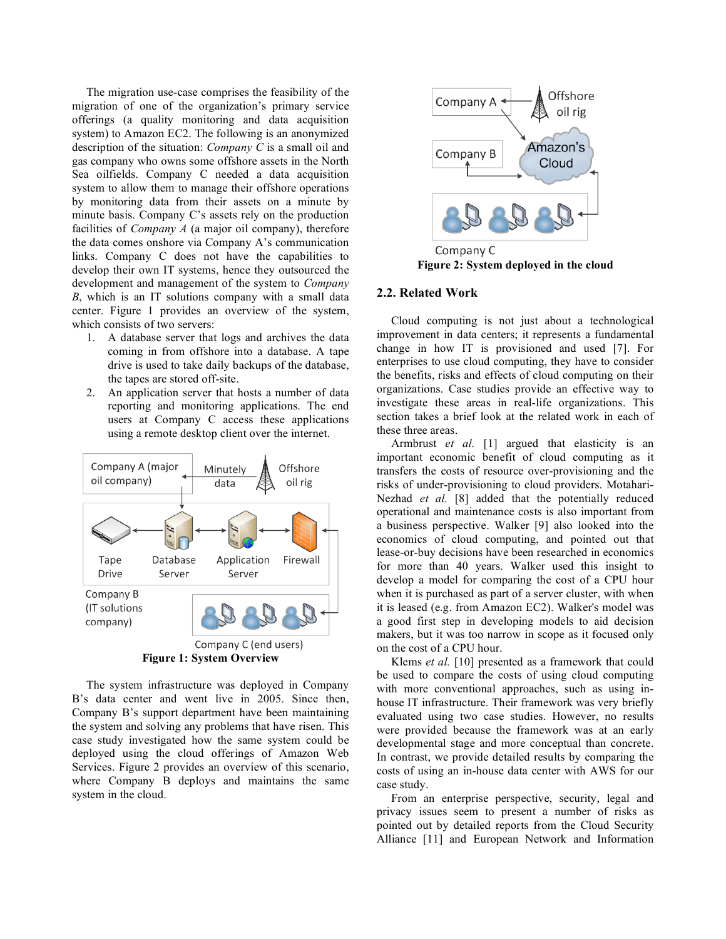The migration use-case comprises the feasibility of the migration of one of the organization's primary service offerings (a quality monitoring and data acquisition system) to Amazon EC2. The following is an anonymized description of the situation: *Company C* is a small oil and gas company who owns some offshore assets in the North Sea oilfields. Company C needed a data acquisition system to allow them to manage their offshore operations by monitoring data from their assets on a minute by minute basis. Company C's assets rely on the production facilities of *Company A* (a major oil company), therefore the data comes onshore via Company A's communication links. Company C does not have the capabilities to develop their own IT systems, hence they outsourced the development and management of the system to *Company B*, which is an IT solutions company with a small data center. Figure 1 provides an overview of the system, which consists of two servers:

- 1. A database server that logs and archives the data coming in from offshore into a database. A tape drive is used to take daily backups of the database, the tapes are stored off-site.
- 2. An application server that hosts a number of data reporting and monitoring applications. The end users at Company C access these applications using a remote desktop client over the internet.



The system infrastructure was deployed in Company B's data center and went live in 2005. Since then, Company B's support department have been maintaining the system and solving any problems that have risen. This case study investigated how the same system could be deployed using the cloud offerings of Amazon Web Services. Figure 2 provides an overview of this scenario, where Company B deploys and maintains the same system in the cloud.



**Figure 2: System deployed in the cloud**

### **2.2. Related Work**

Cloud computing is not just about a technological improvement in data centers; it represents a fundamental change in how IT is provisioned and used [7]. For enterprises to use cloud computing, they have to consider the benefits, risks and effects of cloud computing on their organizations. Case studies provide an effective way to investigate these areas in real-life organizations. This section takes a brief look at the related work in each of these three areas.

Armbrust *et al.* [1] argued that elasticity is an important economic benefit of cloud computing as it transfers the costs of resource over-provisioning and the risks of under-provisioning to cloud providers. Motahari-Nezhad *et al.* [8] added that the potentially reduced operational and maintenance costs is also important from a business perspective. Walker [9] also looked into the economics of cloud computing, and pointed out that lease-or-buy decisions have been researched in economics for more than 40 years. Walker used this insight to develop a model for comparing the cost of a CPU hour when it is purchased as part of a server cluster, with when it is leased (e.g. from Amazon EC2). Walker's model was a good first step in developing models to aid decision makers, but it was too narrow in scope as it focused only on the cost of a CPU hour.

Klems *et al.* [10] presented as a framework that could be used to compare the costs of using cloud computing with more conventional approaches, such as using inhouse IT infrastructure. Their framework was very briefly evaluated using two case studies. However, no results were provided because the framework was at an early developmental stage and more conceptual than concrete. In contrast, we provide detailed results by comparing the costs of using an in-house data center with AWS for our case study.

From an enterprise perspective, security, legal and privacy issues seem to present a number of risks as pointed out by detailed reports from the Cloud Security Alliance [11] and European Network and Information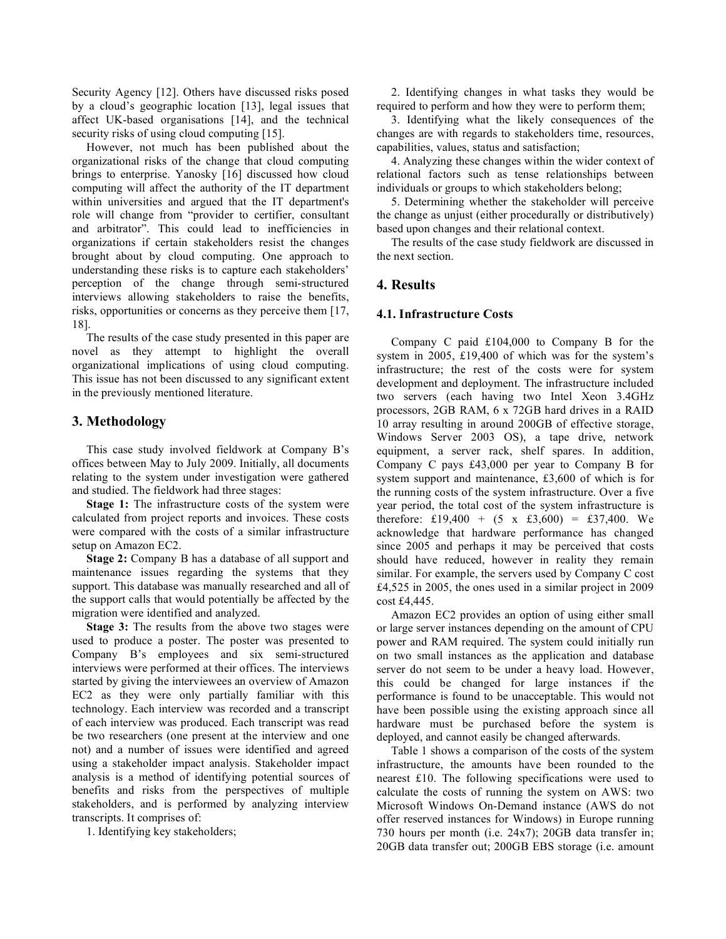Security Agency [12]. Others have discussed risks posed by a cloud's geographic location [13], legal issues that affect UK-based organisations [14], and the technical security risks of using cloud computing [15].

However, not much has been published about the organizational risks of the change that cloud computing brings to enterprise. Yanosky [16] discussed how cloud computing will affect the authority of the IT department within universities and argued that the IT department's role will change from "provider to certifier, consultant and arbitrator". This could lead to inefficiencies in organizations if certain stakeholders resist the changes brought about by cloud computing. One approach to understanding these risks is to capture each stakeholders' perception of the change through semi-structured interviews allowing stakeholders to raise the benefits, risks, opportunities or concerns as they perceive them [17, 18].

The results of the case study presented in this paper are novel as they attempt to highlight the overall organizational implications of using cloud computing. This issue has not been discussed to any significant extent in the previously mentioned literature.

## **3. Methodology**

This case study involved fieldwork at Company B's offices between May to July 2009. Initially, all documents relating to the system under investigation were gathered and studied. The fieldwork had three stages:

**Stage 1:** The infrastructure costs of the system were calculated from project reports and invoices. These costs were compared with the costs of a similar infrastructure setup on Amazon EC2.

**Stage 2:** Company B has a database of all support and maintenance issues regarding the systems that they support. This database was manually researched and all of the support calls that would potentially be affected by the migration were identified and analyzed.

**Stage 3:** The results from the above two stages were used to produce a poster. The poster was presented to Company B's employees and six semi-structured interviews were performed at their offices. The interviews started by giving the interviewees an overview of Amazon EC2 as they were only partially familiar with this technology. Each interview was recorded and a transcript of each interview was produced. Each transcript was read be two researchers (one present at the interview and one not) and a number of issues were identified and agreed using a stakeholder impact analysis. Stakeholder impact analysis is a method of identifying potential sources of benefits and risks from the perspectives of multiple stakeholders, and is performed by analyzing interview transcripts. It comprises of:

1. Identifying key stakeholders;

2. Identifying changes in what tasks they would be required to perform and how they were to perform them;

3. Identifying what the likely consequences of the changes are with regards to stakeholders time, resources, capabilities, values, status and satisfaction;

4. Analyzing these changes within the wider context of relational factors such as tense relationships between individuals or groups to which stakeholders belong;

5. Determining whether the stakeholder will perceive the change as unjust (either procedurally or distributively) based upon changes and their relational context.

The results of the case study fieldwork are discussed in the next section.

## **4. Results**

#### **4.1. Infrastructure Costs**

Company C paid £104,000 to Company B for the system in 2005, £19,400 of which was for the system's infrastructure; the rest of the costs were for system development and deployment. The infrastructure included two servers (each having two Intel Xeon 3.4GHz processors, 2GB RAM, 6 x 72GB hard drives in a RAID 10 array resulting in around 200GB of effective storage, Windows Server 2003 OS), a tape drive, network equipment, a server rack, shelf spares. In addition, Company C pays £43,000 per year to Company B for system support and maintenance, £3,600 of which is for the running costs of the system infrastructure. Over a five year period, the total cost of the system infrastructure is therefore: £19,400 +  $(5 \times £3,600) = £37,400$ . We acknowledge that hardware performance has changed since 2005 and perhaps it may be perceived that costs should have reduced, however in reality they remain similar. For example, the servers used by Company C cost £4,525 in 2005, the ones used in a similar project in 2009 cost £4,445.

Amazon EC2 provides an option of using either small or large server instances depending on the amount of CPU power and RAM required. The system could initially run on two small instances as the application and database server do not seem to be under a heavy load. However, this could be changed for large instances if the performance is found to be unacceptable. This would not have been possible using the existing approach since all hardware must be purchased before the system is deployed, and cannot easily be changed afterwards.

Table 1 shows a comparison of the costs of the system infrastructure, the amounts have been rounded to the nearest £10. The following specifications were used to calculate the costs of running the system on AWS: two Microsoft Windows On-Demand instance (AWS do not offer reserved instances for Windows) in Europe running 730 hours per month (i.e. 24x7); 20GB data transfer in; 20GB data transfer out; 200GB EBS storage (i.e. amount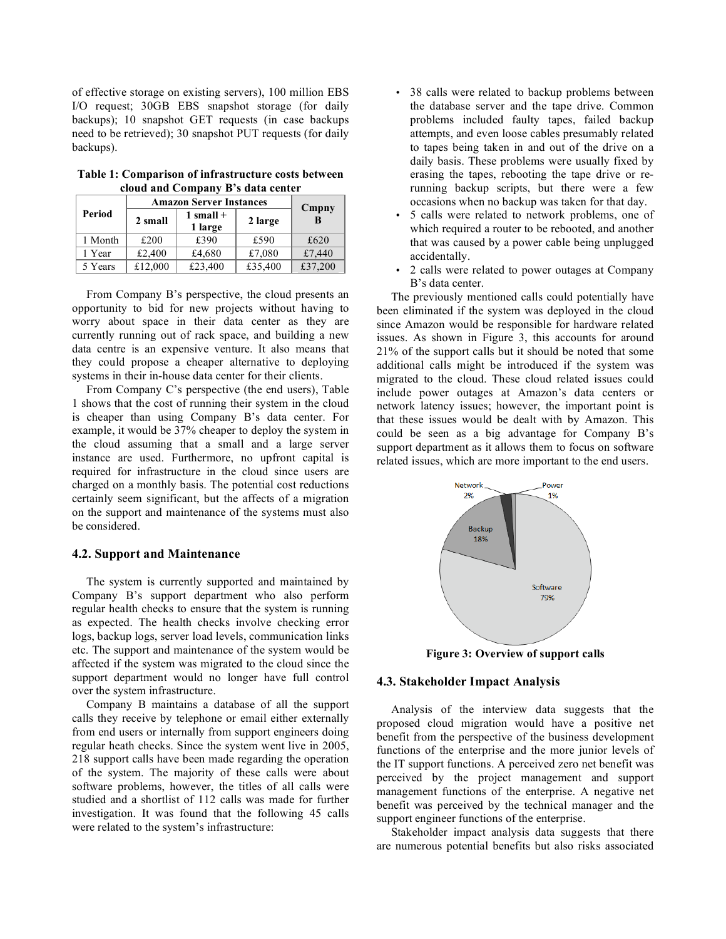of effective storage on existing servers), 100 million EBS I/O request; 30GB EBS snapshot storage (for daily backups); 10 snapshot GET requests (in case backups need to be retrieved); 30 snapshot PUT requests (for daily backups).

| Table 1: Comparison of infrastructure costs between |
|-----------------------------------------------------|
| cloud and Company B's data center                   |

|         | <b>Amazon Server Instances</b> |                                |         | Cmpny   |
|---------|--------------------------------|--------------------------------|---------|---------|
| Period  | 2 small                        | $1 \text{ small} +$<br>1 large | 2 large | B       |
| 1 Month | £200                           | £390                           | £590    | £620    |
| 1 Year  | £2,400                         | £4,680                         | £7,080  | £7,440  |
| 5 Years | £12,000                        | £23,400                        | £35,400 | £37,200 |

From Company B's perspective, the cloud presents an opportunity to bid for new projects without having to worry about space in their data center as they are currently running out of rack space, and building a new data centre is an expensive venture. It also means that they could propose a cheaper alternative to deploying systems in their in-house data center for their clients.

From Company C's perspective (the end users), Table 1 shows that the cost of running their system in the cloud is cheaper than using Company B's data center. For example, it would be 37% cheaper to deploy the system in the cloud assuming that a small and a large server instance are used. Furthermore, no upfront capital is required for infrastructure in the cloud since users are charged on a monthly basis. The potential cost reductions certainly seem significant, but the affects of a migration on the support and maintenance of the systems must also be considered.

#### **4.2. Support and Maintenance**

The system is currently supported and maintained by Company B's support department who also perform regular health checks to ensure that the system is running as expected. The health checks involve checking error logs, backup logs, server load levels, communication links etc. The support and maintenance of the system would be affected if the system was migrated to the cloud since the support department would no longer have full control over the system infrastructure.

Company B maintains a database of all the support calls they receive by telephone or email either externally from end users or internally from support engineers doing regular heath checks. Since the system went live in 2005, 218 support calls have been made regarding the operation of the system. The majority of these calls were about software problems, however, the titles of all calls were studied and a shortlist of 112 calls was made for further investigation. It was found that the following 45 calls were related to the system's infrastructure:

- 38 calls were related to backup problems between the database server and the tape drive. Common problems included faulty tapes, failed backup attempts, and even loose cables presumably related to tapes being taken in and out of the drive on a daily basis. These problems were usually fixed by erasing the tapes, rebooting the tape drive or rerunning backup scripts, but there were a few occasions when no backup was taken for that day.
- 5 calls were related to network problems, one of which required a router to be rebooted, and another that was caused by a power cable being unplugged accidentally.
- 2 calls were related to power outages at Company B's data center.

The previously mentioned calls could potentially have been eliminated if the system was deployed in the cloud since Amazon would be responsible for hardware related issues. As shown in Figure 3, this accounts for around 21% of the support calls but it should be noted that some additional calls might be introduced if the system was migrated to the cloud. These cloud related issues could include power outages at Amazon's data centers or network latency issues; however, the important point is that these issues would be dealt with by Amazon. This could be seen as a big advantage for Company B's support department as it allows them to focus on software related issues, which are more important to the end users.



**Figure 3: Overview of support calls**

#### **4.3. Stakeholder Impact Analysis**

Analysis of the interview data suggests that the proposed cloud migration would have a positive net benefit from the perspective of the business development functions of the enterprise and the more junior levels of the IT support functions. A perceived zero net benefit was perceived by the project management and support management functions of the enterprise. A negative net benefit was perceived by the technical manager and the support engineer functions of the enterprise.

Stakeholder impact analysis data suggests that there are numerous potential benefits but also risks associated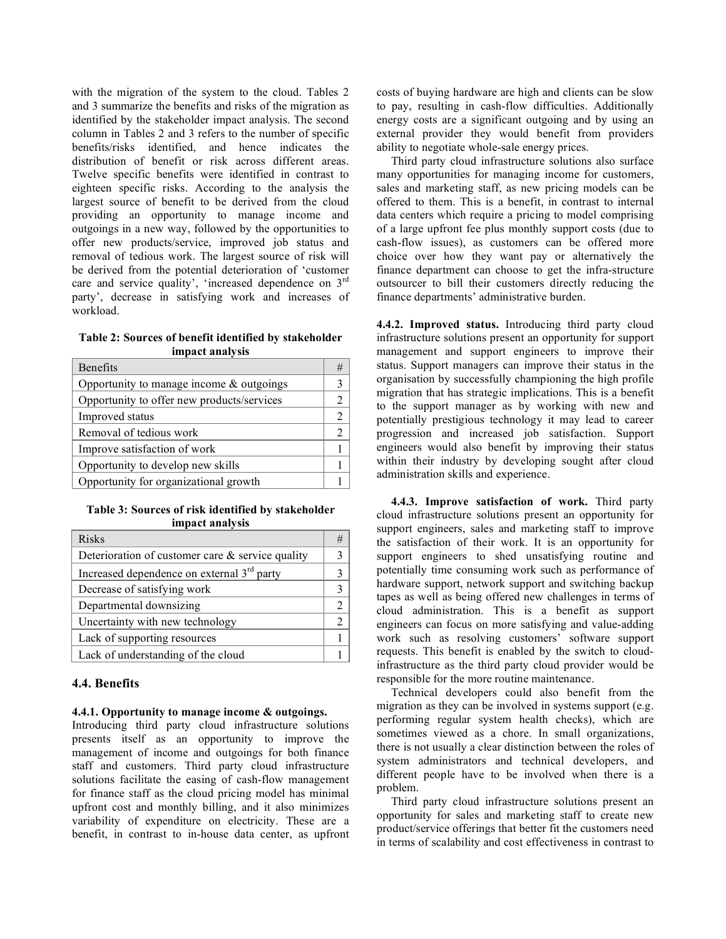with the migration of the system to the cloud. Tables 2 and 3 summarize the benefits and risks of the migration as identified by the stakeholder impact analysis. The second column in Tables 2 and 3 refers to the number of specific benefits/risks identified, and hence indicates the distribution of benefit or risk across different areas. Twelve specific benefits were identified in contrast to eighteen specific risks. According to the analysis the largest source of benefit to be derived from the cloud providing an opportunity to manage income and outgoings in a new way, followed by the opportunities to offer new products/service, improved job status and removal of tedious work. The largest source of risk will be derived from the potential deterioration of 'customer care and service quality', 'increased dependence on 3<sup>rd</sup> party', decrease in satisfying work and increases of workload.

**Table 2: Sources of benefit identified by stakeholder impact analysis**

| <b>Benefits</b>                             | #              |
|---------------------------------------------|----------------|
| Opportunity to manage income $\&$ outgoings |                |
| Opportunity to offer new products/services  |                |
| Improved status                             | $\overline{2}$ |
| Removal of tedious work                     | 2              |
| Improve satisfaction of work                |                |
| Opportunity to develop new skills           |                |
| Opportunity for organizational growth       |                |

**Table 3: Sources of risk identified by stakeholder impact analysis**

| <b>Risks</b>                                        |  |
|-----------------------------------------------------|--|
| Deterioration of customer care $\&$ service quality |  |
| Increased dependence on external $3rd$ party        |  |
| Decrease of satisfying work                         |  |
| Departmental downsizing                             |  |
| Uncertainty with new technology                     |  |
| Lack of supporting resources                        |  |
| Lack of understanding of the cloud                  |  |

## **4.4. Benefits**

#### **4.4.1. Opportunity to manage income & outgoings.**

Introducing third party cloud infrastructure solutions presents itself as an opportunity to improve the management of income and outgoings for both finance staff and customers. Third party cloud infrastructure solutions facilitate the easing of cash-flow management for finance staff as the cloud pricing model has minimal upfront cost and monthly billing, and it also minimizes variability of expenditure on electricity. These are a benefit, in contrast to in-house data center, as upfront

costs of buying hardware are high and clients can be slow to pay, resulting in cash-flow difficulties. Additionally energy costs are a significant outgoing and by using an external provider they would benefit from providers ability to negotiate whole-sale energy prices.

Third party cloud infrastructure solutions also surface many opportunities for managing income for customers, sales and marketing staff, as new pricing models can be offered to them. This is a benefit, in contrast to internal data centers which require a pricing to model comprising of a large upfront fee plus monthly support costs (due to cash-flow issues), as customers can be offered more choice over how they want pay or alternatively the finance department can choose to get the infra-structure outsourcer to bill their customers directly reducing the finance departments' administrative burden.

**4.4.2. Improved status.** Introducing third party cloud infrastructure solutions present an opportunity for support management and support engineers to improve their status. Support managers can improve their status in the organisation by successfully championing the high profile migration that has strategic implications. This is a benefit to the support manager as by working with new and potentially prestigious technology it may lead to career progression and increased job satisfaction. Support engineers would also benefit by improving their status within their industry by developing sought after cloud administration skills and experience.

**4.4.3. Improve satisfaction of work.** Third party cloud infrastructure solutions present an opportunity for support engineers, sales and marketing staff to improve the satisfaction of their work. It is an opportunity for support engineers to shed unsatisfying routine and potentially time consuming work such as performance of hardware support, network support and switching backup tapes as well as being offered new challenges in terms of cloud administration. This is a benefit as support engineers can focus on more satisfying and value-adding work such as resolving customers' software support requests. This benefit is enabled by the switch to cloudinfrastructure as the third party cloud provider would be responsible for the more routine maintenance.

Technical developers could also benefit from the migration as they can be involved in systems support (e.g. performing regular system health checks), which are sometimes viewed as a chore. In small organizations, there is not usually a clear distinction between the roles of system administrators and technical developers, and different people have to be involved when there is a problem.

Third party cloud infrastructure solutions present an opportunity for sales and marketing staff to create new product/service offerings that better fit the customers need in terms of scalability and cost effectiveness in contrast to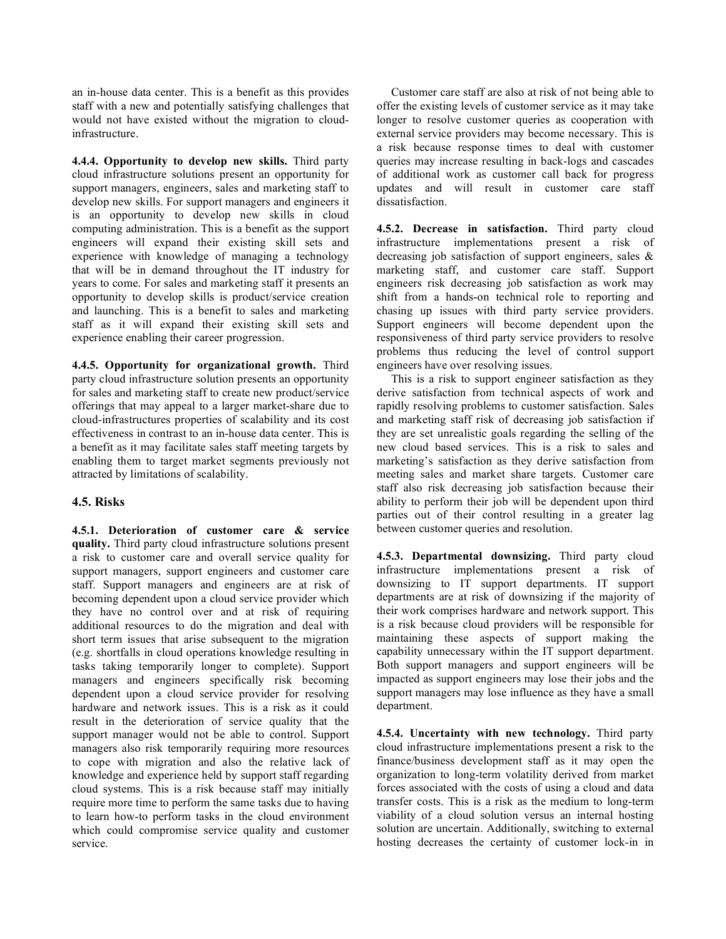an in-house data center. This is a benefit as this provides staff with a new and potentially satisfying challenges that would not have existed without the migration to cloudinfrastructure.

**4.4.4. Opportunity to develop new skills.** Third party cloud infrastructure solutions present an opportunity for support managers, engineers, sales and marketing staff to develop new skills. For support managers and engineers it is an opportunity to develop new skills in cloud computing administration. This is a benefit as the support engineers will expand their existing skill sets and experience with knowledge of managing a technology that will be in demand throughout the IT industry for years to come. For sales and marketing staff it presents an opportunity to develop skills is product/service creation and launching. This is a benefit to sales and marketing staff as it will expand their existing skill sets and experience enabling their career progression.

**4.4.5. Opportunity for organizational growth.** Third party cloud infrastructure solution presents an opportunity for sales and marketing staff to create new product/service offerings that may appeal to a larger market-share due to cloud-infrastructures properties of scalability and its cost effectiveness in contrast to an in-house data center. This is a benefit as it may facilitate sales staff meeting targets by enabling them to target market segments previously not attracted by limitations of scalability.

## **4.5. Risks**

**4.5.1. Deterioration of customer care & service quality.** Third party cloud infrastructure solutions present a risk to customer care and overall service quality for support managers, support engineers and customer care staff. Support managers and engineers are at risk of becoming dependent upon a cloud service provider which they have no control over and at risk of requiring additional resources to do the migration and deal with short term issues that arise subsequent to the migration (e.g. shortfalls in cloud operations knowledge resulting in tasks taking temporarily longer to complete). Support managers and engineers specifically risk becoming dependent upon a cloud service provider for resolving hardware and network issues. This is a risk as it could result in the deterioration of service quality that the support manager would not be able to control. Support managers also risk temporarily requiring more resources to cope with migration and also the relative lack of knowledge and experience held by support staff regarding cloud systems. This is a risk because staff may initially require more time to perform the same tasks due to having to learn how-to perform tasks in the cloud environment which could compromise service quality and customer service.

Customer care staff are also at risk of not being able to offer the existing levels of customer service as it may take longer to resolve customer queries as cooperation with external service providers may become necessary. This is a risk because response times to deal with customer queries may increase resulting in back-logs and cascades of additional work as customer call back for progress updates and will result in customer care staff dissatisfaction.

**4.5.2. Decrease in satisfaction.** Third party cloud infrastructure implementations present a risk of decreasing job satisfaction of support engineers, sales & marketing staff, and customer care staff. Support engineers risk decreasing job satisfaction as work may shift from a hands-on technical role to reporting and chasing up issues with third party service providers. Support engineers will become dependent upon the responsiveness of third party service providers to resolve problems thus reducing the level of control support engineers have over resolving issues.

This is a risk to support engineer satisfaction as they derive satisfaction from technical aspects of work and rapidly resolving problems to customer satisfaction. Sales and marketing staff risk of decreasing job satisfaction if they are set unrealistic goals regarding the selling of the new cloud based services. This is a risk to sales and marketing's satisfaction as they derive satisfaction from meeting sales and market share targets. Customer care staff also risk decreasing job satisfaction because their ability to perform their job will be dependent upon third parties out of their control resulting in a greater lag between customer queries and resolution.

**4.5.3. Departmental downsizing.** Third party cloud infrastructure implementations present a risk of downsizing to IT support departments. IT support departments are at risk of downsizing if the majority of their work comprises hardware and network support. This is a risk because cloud providers will be responsible for maintaining these aspects of support making the capability unnecessary within the IT support department. Both support managers and support engineers will be impacted as support engineers may lose their jobs and the support managers may lose influence as they have a small department.

**4.5.4. Uncertainty with new technology.** Third party cloud infrastructure implementations present a risk to the finance/business development staff as it may open the organization to long-term volatility derived from market forces associated with the costs of using a cloud and data transfer costs. This is a risk as the medium to long-term viability of a cloud solution versus an internal hosting solution are uncertain. Additionally, switching to external hosting decreases the certainty of customer lock-in in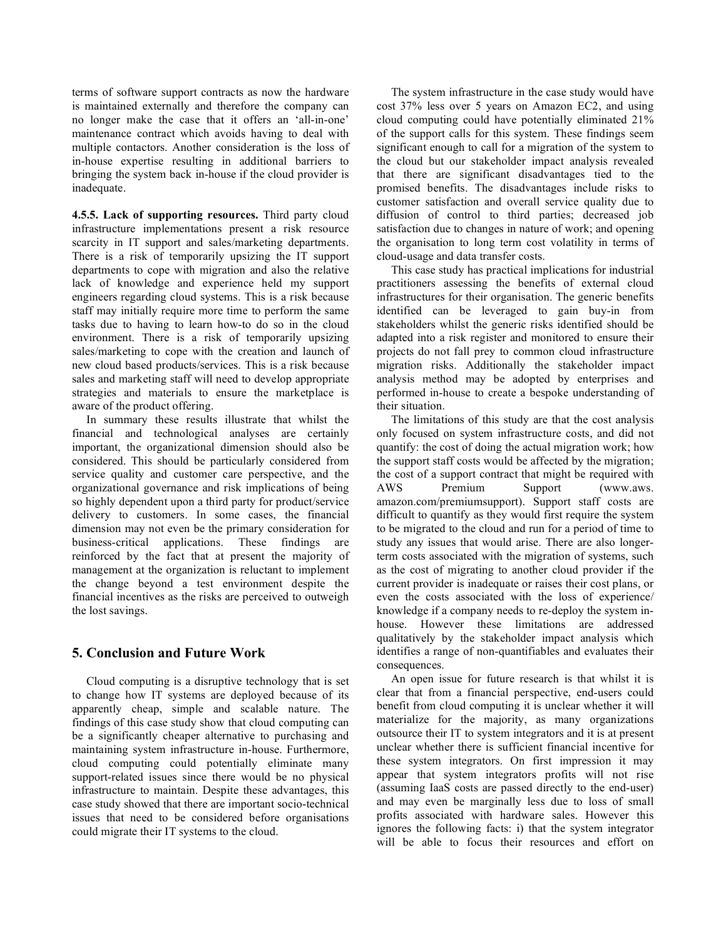terms of software support contracts as now the hardware is maintained externally and therefore the company can no longer make the case that it offers an 'all-in-one' maintenance contract which avoids having to deal with multiple contactors. Another consideration is the loss of in-house expertise resulting in additional barriers to bringing the system back in-house if the cloud provider is inadequate.

**4.5.5. Lack of supporting resources.** Third party cloud infrastructure implementations present a risk resource scarcity in IT support and sales/marketing departments. There is a risk of temporarily upsizing the IT support departments to cope with migration and also the relative lack of knowledge and experience held my support engineers regarding cloud systems. This is a risk because staff may initially require more time to perform the same tasks due to having to learn how-to do so in the cloud environment. There is a risk of temporarily upsizing sales/marketing to cope with the creation and launch of new cloud based products/services. This is a risk because sales and marketing staff will need to develop appropriate strategies and materials to ensure the marketplace is aware of the product offering.

In summary these results illustrate that whilst the financial and technological analyses are certainly important, the organizational dimension should also be considered. This should be particularly considered from service quality and customer care perspective, and the organizational governance and risk implications of being so highly dependent upon a third party for product/service delivery to customers. In some cases, the financial dimension may not even be the primary consideration for business-critical applications. These findings are reinforced by the fact that at present the majority of management at the organization is reluctant to implement the change beyond a test environment despite the financial incentives as the risks are perceived to outweigh the lost savings.

# **5. Conclusion and Future Work**

Cloud computing is a disruptive technology that is set to change how IT systems are deployed because of its apparently cheap, simple and scalable nature. The findings of this case study show that cloud computing can be a significantly cheaper alternative to purchasing and maintaining system infrastructure in-house. Furthermore, cloud computing could potentially eliminate many support-related issues since there would be no physical infrastructure to maintain. Despite these advantages, this case study showed that there are important socio-technical issues that need to be considered before organisations could migrate their IT systems to the cloud.

The system infrastructure in the case study would have cost 37% less over 5 years on Amazon EC2, and using cloud computing could have potentially eliminated 21% of the support calls for this system. These findings seem significant enough to call for a migration of the system to the cloud but our stakeholder impact analysis revealed that there are significant disadvantages tied to the promised benefits. The disadvantages include risks to customer satisfaction and overall service quality due to diffusion of control to third parties; decreased job satisfaction due to changes in nature of work; and opening the organisation to long term cost volatility in terms of cloud-usage and data transfer costs.

This case study has practical implications for industrial practitioners assessing the benefits of external cloud infrastructures for their organisation. The generic benefits identified can be leveraged to gain buy-in from stakeholders whilst the generic risks identified should be adapted into a risk register and monitored to ensure their projects do not fall prey to common cloud infrastructure migration risks. Additionally the stakeholder impact analysis method may be adopted by enterprises and performed in-house to create a bespoke understanding of their situation.

The limitations of this study are that the cost analysis only focused on system infrastructure costs, and did not quantify: the cost of doing the actual migration work; how the support staff costs would be affected by the migration; the cost of a support contract that might be required with AWS Premium Support (www.aws. amazon.com/premiumsupport). Support staff costs are difficult to quantify as they would first require the system to be migrated to the cloud and run for a period of time to study any issues that would arise. There are also longerterm costs associated with the migration of systems, such as the cost of migrating to another cloud provider if the current provider is inadequate or raises their cost plans, or even the costs associated with the loss of experience/ knowledge if a company needs to re-deploy the system inhouse. However these limitations are addressed qualitatively by the stakeholder impact analysis which identifies a range of non-quantifiables and evaluates their consequences.

An open issue for future research is that whilst it is clear that from a financial perspective, end-users could benefit from cloud computing it is unclear whether it will materialize for the majority, as many organizations outsource their IT to system integrators and it is at present unclear whether there is sufficient financial incentive for these system integrators. On first impression it may appear that system integrators profits will not rise (assuming IaaS costs are passed directly to the end-user) and may even be marginally less due to loss of small profits associated with hardware sales. However this ignores the following facts: i) that the system integrator will be able to focus their resources and effort on